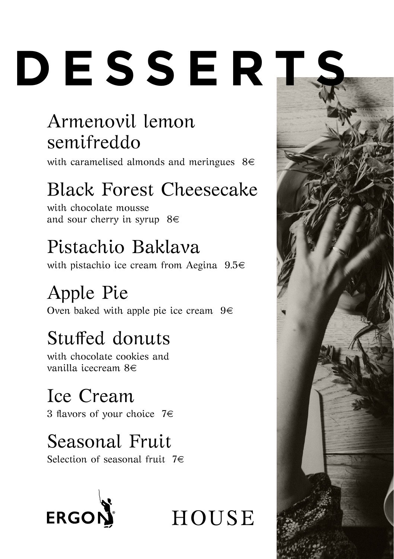# **DESSERTS**

## Armenovil lemon semifreddo

with caramelised almonds and meringues  $8 \in$ 

# Black Forest Cheesecake

with chocolate mousse and sour cherry in syrup  $8 \in$ 

# Pistachio Baklava

with pistachio ice cream from Aegina 9.5€

# Apple Pie

Oven baked with apple pie ice cream  $9 \in$ 

# Stuffed donuts

with chocolate cookies and vanilla icecream 8€

# Ice Cream

3 flavors of your choice  $7 \in$ 

## Seasonal Fruit

Selection of seasonal fruit  $7 \in$ 



**HOUSE**